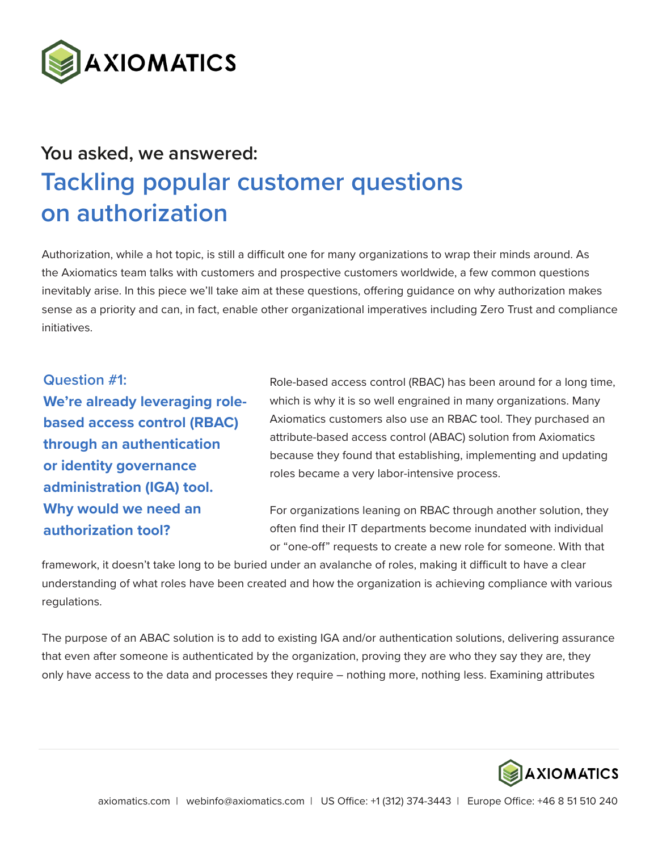

## **You asked, we answered: Tackling popular customer questions on authorization**

Authorization, while a hot topic, is still a difficult one for many organizations to wrap their minds around. As the Axiomatics team talks with customers and prospective customers worldwide, a few common questions inevitably arise. In this piece we'll take aim at these questions, offering guidance on why authorization makes sense as a priority and can, in fact, enable other organizational imperatives including Zero Trust and compliance initiatives.

**Question #1: We're already leveraging rolebased access control (RBAC) through an authentication or identity governance administration (IGA) tool. Why would we need an authorization tool?**

Role-based access control (RBAC) has been around for a long time, which is why it is so well engrained in many organizations. Many Axiomatics customers also use an RBAC tool. They purchased an attribute-based access control (ABAC) solution from Axiomatics because they found that establishing, implementing and updating roles became a very labor-intensive process.

For organizations leaning on RBAC through another solution, they often find their IT departments become inundated with individual or "one-off" requests to create a new role for someone. With that

framework, it doesn't take long to be buried under an avalanche of roles, making it difficult to have a clear understanding of what roles have been created and how the organization is achieving compliance with various regulations.

The purpose of an ABAC solution is to add to existing IGA and/or authentication solutions, delivering assurance that even after someone is authenticated by the organization, proving they are who they say they are, they only have access to the data and processes they require – nothing more, nothing less. Examining attributes

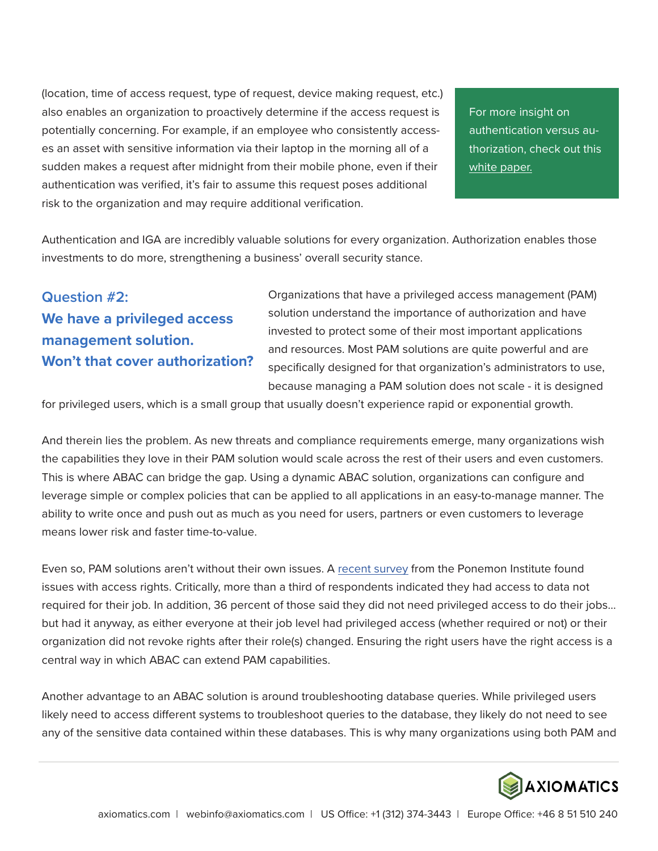(location, time of access request, type of request, device making request, etc.) also enables an organization to proactively determine if the access request is potentially concerning. For example, if an employee who consistently accesses an asset with sensitive information via their laptop in the morning all of a sudden makes a request after midnight from their mobile phone, even if their authentication was verified, it's fair to assume this request poses additional risk to the organization and may require additional verification.

For more insight on authentication versus authorization, check out this [white paper.](https://www.axiomatics.com/resources/in-or-out-challenges-of-authentication/)

Authentication and IGA are incredibly valuable solutions for every organization. Authorization enables those investments to do more, strengthening a business' overall security stance.

## **Question #2: We have a privileged access management solution. Won't that cover authorization?**

Organizations that have a privileged access management (PAM) solution understand the importance of authorization and have invested to protect some of their most important applications and resources. Most PAM solutions are quite powerful and are specifically designed for that organization's administrators to use, because managing a PAM solution does not scale - it is designed

for privileged users, which is a small group that usually doesn't experience rapid or exponential growth.

And therein lies the problem. As new threats and compliance requirements emerge, many organizations wish the capabilities they love in their PAM solution would scale across the rest of their users and even customers. This is where ABAC can bridge the gap. Using a dynamic ABAC solution, organizations can configure and leverage simple or complex policies that can be applied to all applications in an easy-to-manage manner. The ability to write once and push out as much as you need for users, partners or even customers to leverage means lower risk and faster time-to-value.

Even so, PAM solutions aren't without their own issues. A [recent survey](https://www.infosecurity-magazine.com/magazine-features/pam-in-the-enterprise-pros-versus/) from the Ponemon Institute found issues with access rights. Critically, more than a third of respondents indicated they had access to data not required for their job. In addition, 36 percent of those said they did not need privileged access to do their jobs… but had it anyway, as either everyone at their job level had privileged access (whether required or not) or their organization did not revoke rights after their role(s) changed. Ensuring the right users have the right access is a central way in which ABAC can extend PAM capabilities.

Another advantage to an ABAC solution is around troubleshooting database queries. While privileged users likely need to access different systems to troubleshoot queries to the database, they likely do not need to see any of the sensitive data contained within these databases. This is why many organizations using both PAM and

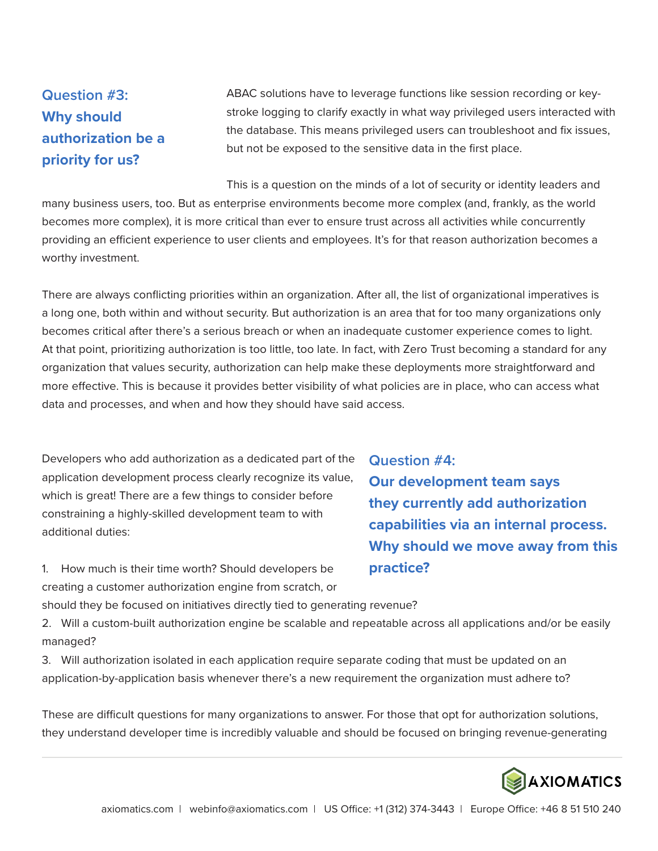## **Question #3: Why should authorization be a priority for us?**

ABAC solutions have to leverage functions like session recording or keystroke logging to clarify exactly in what way privileged users interacted with the database. This means privileged users can troubleshoot and fix issues, but not be exposed to the sensitive data in the first place.

This is a question on the minds of a lot of security or identity leaders and many business users, too. But as enterprise environments become more complex (and, frankly, as the world becomes more complex), it is more critical than ever to ensure trust across all activities while concurrently providing an efficient experience to user clients and employees. It's for that reason authorization becomes a worthy investment.

There are always conflicting priorities within an organization. After all, the list of organizational imperatives is a long one, both within and without security. But authorization is an area that for too many organizations only becomes critical after there's a serious breach or when an inadequate customer experience comes to light. At that point, prioritizing authorization is too little, too late. In fact, with Zero Trust becoming a standard for any organization that values security, authorization can help make these deployments more straightforward and more effective. This is because it provides better visibility of what policies are in place, who can access what data and processes, and when and how they should have said access.

Developers who add authorization as a dedicated part of the application development process clearly recognize its value, which is great! There are a few things to consider before constraining a highly-skilled development team to with additional duties:

1. How much is their time worth? Should developers be creating a customer authorization engine from scratch, or **Question #4: Our development team says they currently add authorization capabilities via an internal process. Why should we move away from this practice?**

should they be focused on initiatives directly tied to generating revenue?

2. Will a custom-built authorization engine be scalable and repeatable across all applications and/or be easily managed?

3. Will authorization isolated in each application require separate coding that must be updated on an application-by-application basis whenever there's a new requirement the organization must adhere to?

These are difficult questions for many organizations to answer. For those that opt for authorization solutions, they understand developer time is incredibly valuable and should be focused on bringing revenue-generating